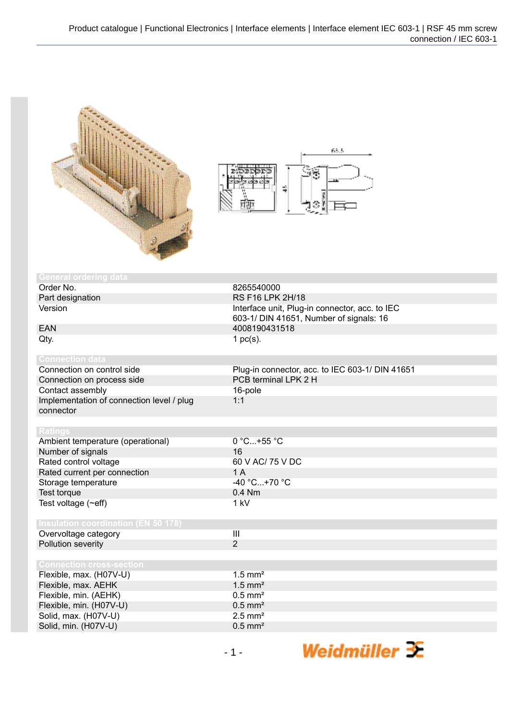



| <b>General ordering data</b>               |                                                 |
|--------------------------------------------|-------------------------------------------------|
| Order No.                                  | 8265540000                                      |
| Part designation                           | RS F16 LPK 2H/18                                |
| Version                                    | Interface unit, Plug-in connector, acc. to IEC  |
|                                            | 603-1/ DIN 41651, Number of signals: 16         |
| <b>EAN</b>                                 | 4008190431518                                   |
| Qty.                                       | 1 $pc(s)$ .                                     |
|                                            |                                                 |
| <b>Connection data</b>                     |                                                 |
| Connection on control side                 | Plug-in connector, acc. to IEC 603-1/ DIN 41651 |
| Connection on process side                 | PCB terminal LPK 2 H                            |
| Contact assembly                           | 16-pole                                         |
| Implementation of connection level / plug  | 1:1                                             |
| connector                                  |                                                 |
|                                            |                                                 |
| <b>Ratings</b>                             |                                                 |
| Ambient temperature (operational)          | 0 °C+55 °C                                      |
| Number of signals                          | 16                                              |
| Rated control voltage                      | 60 V AC/ 75 V DC                                |
| Rated current per connection               | 1A                                              |
| Storage temperature                        | $-40 °C+70 °C$                                  |
| Test torque                                | 0.4 Nm                                          |
| Test voltage (~eff)                        | 1 kV                                            |
|                                            |                                                 |
| <b>Insulation coordination (EN 50 178)</b> |                                                 |
| Overvoltage category                       | $\overline{\mathbf{III}}$                       |
| Pollution severity                         | $\overline{2}$                                  |
|                                            |                                                 |
| <b>Connection cross-section</b>            |                                                 |
| Flexible, max. (H07V-U)                    | $1.5$ mm <sup>2</sup>                           |
| Flexible, max. AEHK                        | $1.5$ mm <sup>2</sup>                           |
| Flexible, min. (AEHK)                      | $0.5$ mm <sup>2</sup>                           |
| Flexible, min. (H07V-U)                    | $0.5$ mm <sup>2</sup>                           |
| Solid, max. (H07V-U)                       | $2.5$ mm <sup>2</sup>                           |
| Solid, min. (H07V-U)                       | $0.5$ mm <sup>2</sup>                           |
|                                            |                                                 |

Weidmüller <